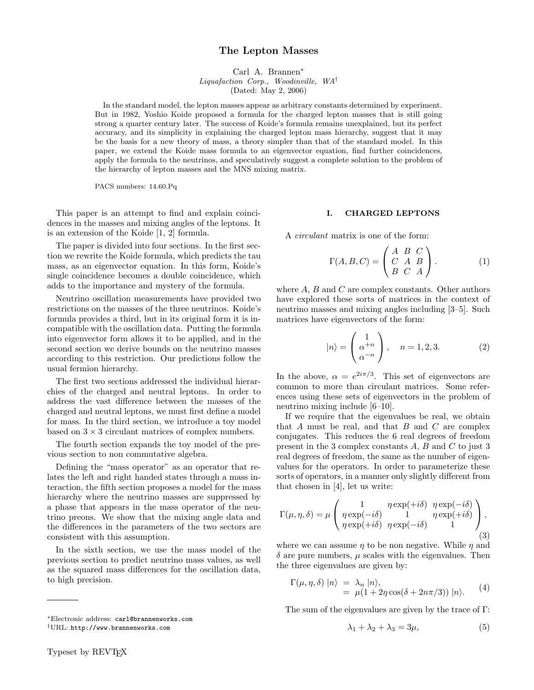# The Lepton Masses

Carl A. Brannen<sup>∗</sup> Liquafaction Corp., Woodinville, WA† (Dated: May 2, 2006)

In the standard model, the lepton masses appear as arbitrary constants determined by experiment. But in 1982, Yoshio Koide proposed a formula for the charged lepton masses that is still going strong a quarter century later. The success of Koide's formula remains unexplained, but its perfect accuracy, and its simplicity in explaining the charged lepton mass hierarchy, suggest that it may be the basis for a new theory of mass, a theory simpler than that of the standard model. In this paper, we extend the Koide mass formula to an eigenvector equation, find further coincidences, apply the formula to the neutrinos, and speculatively suggest a complete solution to the problem of the hierarchy of lepton masses and the MNS mixing matrix.

PACS numbers: 14.60.Pq

This paper is an attempt to find and explain coincidences in the masses and mixing angles of the leptons. It is an extension of the Koide [1, 2] formula.

The paper is divided into four sections. In the first section we rewrite the Koide formula, which predicts the tau mass, as an eigenvector equation. In this form, Koide's single coincidence becomes a double coincidence, which adds to the importance and mystery of the formula.

Neutrino oscillation measurements have provided two restrictions on the masses of the three neutrinos. Koide's formula provides a third, but in its original form it is incompatible with the oscillation data. Putting the formula into eigenvector form allows it to be applied, and in the second section we derive bounds on the neutrino masses according to this restriction. Our predictions follow the usual fermion hierarchy.

The first two sections addressed the individual hierarchies of the charged and neutral leptons. In order to address the vast difference between the masses of the charged and neutral leptons, we must first define a model for mass. In the third section, we introduce a toy model based on  $3 \times 3$  circulant matrices of complex numbers.

The fourth section expands the toy model of the previous section to non commutative algebra.

Defining the "mass operator" as an operator that relates the left and right handed states through a mass interaction, the fifth section proposes a model for the mass hierarchy where the neutrino masses are suppressed by a phase that appears in the mass operator of the neutrino preons. We show that the mixing angle data and the differences in the parameters of the two sectors are consistent with this assumption.

In the sixth section, we use the mass model of the previous section to predict neutrino mass values, as well as the squared mass differences for the oscillation data, to high precision.

#### I. CHARGED LEPTONS

A circulant matrix is one of the form:

$$
\Gamma(A, B, C) = \begin{pmatrix} A & B & C \\ C & A & B \\ B & C & A \end{pmatrix}.
$$
 (1)

where  $A, B$  and  $C$  are complex constants. Other authors have explored these sorts of matrices in the context of neutrino masses and mixing angles including [3–5]. Such matrices have eigenvectors of the form:

$$
|n\rangle = \begin{pmatrix} 1 \\ \alpha^{+n} \\ \alpha^{-n} \end{pmatrix}, \quad n = 1, 2, 3. \tag{2}
$$

In the above,  $\alpha = e^{2i\pi/3}$ . This set of eigenvectors are common to more than circulant matrices. Some references using these sets of eigenvectors in the problem of neutrino mixing include [6–10].

If we require that the eigenvalues be real, we obtain that  $A$  must be real, and that  $B$  and  $C$  are complex conjugates. This reduces the 6 real degrees of freedom present in the 3 complex constants A, B and C to just 3 real degrees of freedom, the same as the number of eigenvalues for the operators. In order to parameterize these sorts of operators, in a manner only slightly different from that chosen in [4], let us write:

$$
\Gamma(\mu, \eta, \delta) = \mu \left( \begin{array}{ccc} 1 & \eta \exp(+i\delta) & \eta \exp(-i\delta) \\ \eta \exp(-i\delta) & 1 & \eta \exp(+i\delta) \\ \eta \exp(+i\delta) & \eta \exp(-i\delta) & 1 \end{array} \right),\tag{3}
$$

where we can assume  $\eta$  to be non negative. While  $\eta$  and  $\delta$  are pure numbers,  $\mu$  scales with the eigenvalues. Then the three eigenvalues are given by:

$$
\Gamma(\mu, \eta, \delta) |n\rangle = \lambda_n |n\rangle,
$$
  
=  $\mu(1 + 2\eta \cos(\delta + 2n\pi/3)) |n\rangle.$  (4)

The sum of the eigenvalues are given by the trace of Γ:

$$
\lambda_1 + \lambda_2 + \lambda_3 = 3\mu,\tag{5}
$$

<sup>∗</sup>Electronic address: carl@brannenworks.com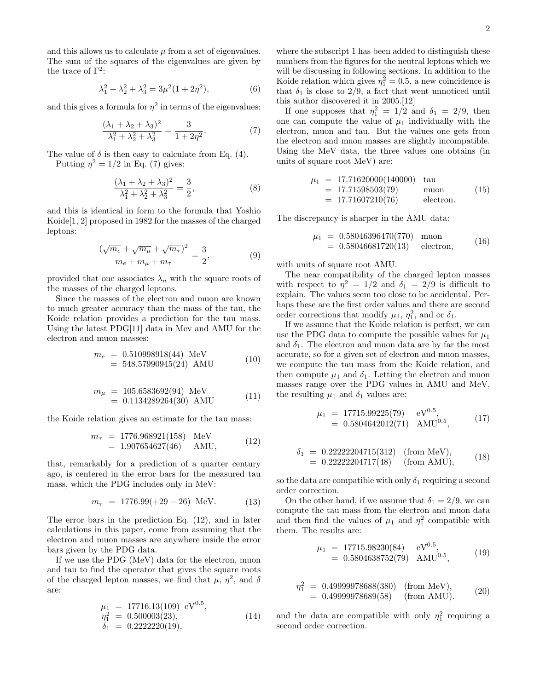and this allows us to calculate  $\mu$  from a set of eigenvalues. The sum of the squares of the eigenvalues are given by the trace of  $\Gamma^2$ :

$$
\lambda_1^2 + \lambda_2^2 + \lambda_3^2 = 3\mu^2 (1 + 2\eta^2),\tag{6}
$$

and this gives a formula for  $\eta^2$  in terms of the eigenvalues:

$$
\frac{(\lambda_1 + \lambda_2 + \lambda_3)^2}{\lambda_1^2 + \lambda_2^2 + \lambda_3^2} = \frac{3}{1 + 2\eta^2}.
$$
 (7)

The value of  $\delta$  is then easy to calculate from Eq. (4).

Putting  $\eta^2 = 1/2$  in Eq. (7) gives:

$$
\frac{(\lambda_1 + \lambda_2 + \lambda_3)^2}{\lambda_1^2 + \lambda_2^2 + \lambda_3^2} = \frac{3}{2},
$$
\n(8)

and this is identical in form to the formula that Yoshio Koide[1, 2] proposed in 1982 for the masses of the charged leptons:

$$
\frac{(\sqrt{m_e} + \sqrt{m_\mu} + \sqrt{m_\tau})^2}{m_e + m_\mu + m_\tau} = \frac{3}{2},
$$
\n(9)

provided that one associates  $\lambda_n$  with the square roots of the masses of the charged leptons.

Since the masses of the electron and muon are known to much greater accuracy than the mass of the tau, the Koide relation provides a prediction for the tau mass. Using the latest PDG[11] data in Mev and AMU for the electron and muon masses:

$$
m_e = 0.510998918(44) \text{ MeV}
$$
  
= 548.57990945(24) AMU (10)

$$
m_{\mu} = 105.6583692(94) \text{ MeV}
$$
  
= 0.1134289264(30) AMU (11)

the Koide relation gives an estimate for the tau mass:

$$
m_{\tau} = 1776.968921(158) \text{ MeV}
$$
  
= 1.907654627(46) AMU, (12)

that, remarkably for a prediction of a quarter century ago, is centered in the error bars for the measured tau mass, which the PDG includes only in MeV:

$$
m_{\tau} = 1776.99(+29 - 26) \text{ MeV.} \tag{13}
$$

The error bars in the prediction Eq. (12), and in later calculations in this paper, come from assuming that the electron and muon masses are anywhere inside the error bars given by the PDG data.

If we use the PDG (MeV) data for the electron, muon and tau to find the operator that gives the square roots of the charged lepton masses, we find that  $\mu$ ,  $\eta^2$ , and  $\delta$ are:

$$
\mu_1 = 17716.13(109) \text{ eV}^{0.5}, \n\eta_1^2 = 0.500003(23), \n\delta_1 = 0.2222220(19),
$$
\n(14)

where the subscript 1 has been added to distinguish these numbers from the figures for the neutral leptons which we will be discussing in following sections. In addition to the Koide relation which gives  $\eta_1^2 = 0.5$ , a new coincidence is that  $\delta_1$  is close to 2/9, a fact that went unnoticed until this author discovered it in 2005.[12]

If one supposes that  $\eta_1^2 = 1/2$  and  $\delta_1 = 2/9$ , then one can compute the value of  $\mu_1$  individually with the electron, muon and tau. But the values one gets from the electron and muon masses are slightly incompatible. Using the MeV data, the three values one obtains (in units of square root MeV) are:

$$
\mu_1 = 17.71620000(140000) \text{ tau}
$$
  
= 17.71598503(79) muon  
= 17.71607210(76) electron. (15)

The discrepancy is sharper in the AMU data:

$$
\mu_1 = 0.58046396470(770) \text{ muon} \n= 0.58046681720(13) \text{ electron},
$$
\n(16)

with units of square root AMU.

The near compatibility of the charged lepton masses with respect to  $\eta^2 = 1/2$  and  $\delta_1 = 2/9$  is difficult to explain. The values seem too close to be accidental. Perhaps these are the first order values and there are second order corrections that modify  $\mu_1$ ,  $\eta_1^2$ , and or  $\delta_1$ .

If we assume that the Koide relation is perfect, we can use the PDG data to compute the possible values for  $\mu_1$ and  $\delta_1$ . The electron and muon data are by far the most accurate, so for a given set of electron and muon masses, we compute the tau mass from the Koide relation, and then compute  $\mu_1$  and  $\delta_1$ . Letting the electron and muon masses range over the PDG values in AMU and MeV, the resulting  $\mu_1$  and  $\delta_1$  values are:

$$
\mu_1 = 17715.99225(79) \quad \text{eV}^{0.5}, \n= 0.5804642012(71) \quad \text{AMU}^{0.5},
$$
\n(17)

$$
\delta_1 = 0.22222204715(312)
$$
 (from MeV),  
= 0.22222204717(48) (from AMU), (18)

so the data are compatible with only  $\delta_1$  requiring a second order correction.

On the other hand, if we assume that  $\delta_1 = 2/9$ , we can compute the tau mass from the electron and muon data and then find the values of  $\mu_1$  and  $\eta_1^2$  compatible with them. The results are:

$$
\mu_1 = 17715.98230(84) \quad \text{eV}^{0.5}, \n= 0.5804638752(79) \quad \text{AMU}^{0.5},
$$
\n(19)

$$
\eta_1^2 = 0.49999978688(380) \quad \text{(from MeV)}, \n= 0.49999978689(58) \quad \text{(from AMU)}.
$$
\n(20)

and the data are compatible with only  $\eta_1^2$  requiring a second order correction.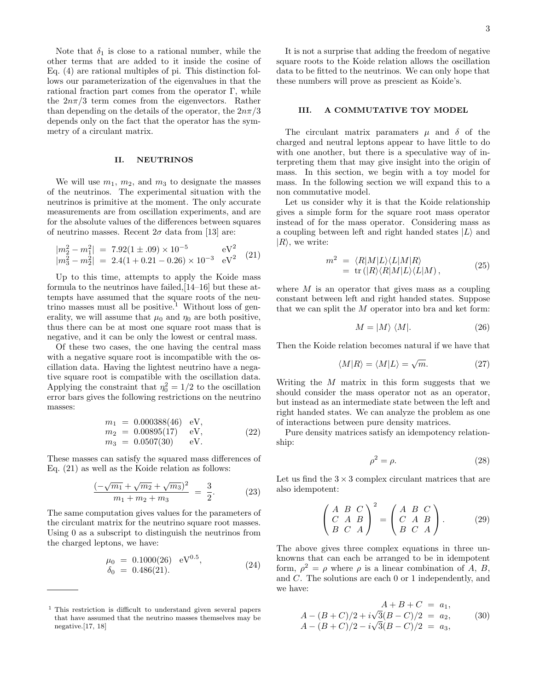Note that  $\delta_1$  is close to a rational number, while the other terms that are added to it inside the cosine of Eq. (4) are rational multiples of pi. This distinction follows our parameterization of the eigenvalues in that the rational fraction part comes from the operator Γ, while the  $2n\pi/3$  term comes from the eigenvectors. Rather than depending on the details of the operator, the  $2n\pi/3$ depends only on the fact that the operator has the symmetry of a circulant matrix.

## II. NEUTRINOS

We will use  $m_1$ ,  $m_2$ , and  $m_3$  to designate the masses of the neutrinos. The experimental situation with the neutrinos is primitive at the moment. The only accurate measurements are from oscillation experiments, and are for the absolute values of the differences between squares of neutrino masses. Recent  $2\sigma$  data from [13] are:

$$
|m_2^2 - m_1^2|
$$
 = 7.92(1 ± .09) × 10<sup>-5</sup> eV<sup>2</sup>  
\n $|m_3^2 - m_2^2|$  = 2.4(1 + 0.21 - 0.26) × 10<sup>-3</sup> eV<sup>2</sup> (21)

Up to this time, attempts to apply the Koide mass formula to the neutrinos have failed,[14–16] but these attempts have assumed that the square roots of the neutrino masses must all be positive.<sup>1</sup> Without loss of generality, we will assume that  $\mu_0$  and  $\eta_0$  are both positive, thus there can be at most one square root mass that is negative, and it can be only the lowest or central mass.

Of these two cases, the one having the central mass with a negative square root is incompatible with the oscillation data. Having the lightest neutrino have a negative square root is compatible with the oscillation data. Applying the constraint that  $\eta_0^2 = 1/2$  to the oscillation error bars gives the following restrictions on the neutrino masses:

$$
m_1 = 0.000388(46) \text{ eV}, \n m_2 = 0.00895(17) \text{ eV}, \n m_3 = 0.0507(30) \text{ eV}.
$$
\n(22)

These masses can satisfy the squared mass differences of Eq. (21) as well as the Koide relation as follows:

$$
\frac{(-\sqrt{m_1} + \sqrt{m_2} + \sqrt{m_3})^2}{m_1 + m_2 + m_3} = \frac{3}{2}.
$$
 (23)

The same computation gives values for the parameters of the circulant matrix for the neutrino square root masses. Using 0 as a subscript to distinguish the neutrinos from the charged leptons, we have:

$$
\mu_0 = 0.1000(26) \text{ eV}^{0.5}, \n\delta_0 = 0.486(21).
$$
\n(24)

It is not a surprise that adding the freedom of negative square roots to the Koide relation allows the oscillation data to be fitted to the neutrinos. We can only hope that these numbers will prove as prescient as Koide's.

### III. A COMMUTATIVE TOY MODEL

The circulant matrix paramaters  $\mu$  and  $\delta$  of the charged and neutral leptons appear to have little to do with one another, but there is a speculative way of interpreting them that may give insight into the origin of mass. In this section, we begin with a toy model for mass. In the following section we will expand this to a non commutative model.

Let us consider why it is that the Koide relationship gives a simple form for the square root mass operator instead of for the mass operator. Considering mass as a coupling between left and right handed states  $|L\rangle$  and  $|R\rangle$ , we write:

$$
m^2 = \langle R|M|L\rangle\langle L|M|R\rangle
$$
  
= tr(|R\rangle\langle R|M|L\rangle\langle L|M], (25)

where  $M$  is an operator that gives mass as a coupling constant between left and right handed states. Suppose that we can split the M operator into bra and ket form:

$$
M = |M\rangle \langle M|.
$$
 (26)

Then the Koide relation becomes natural if we have that

$$
\langle M|R\rangle = \langle M|L\rangle = \sqrt{m}.\tag{27}
$$

Writing the  $M$  matrix in this form suggests that we should consider the mass operator not as an operator, but instead as an intermediate state between the left and right handed states. We can analyze the problem as one of interactions between pure density matrices.

Pure density matrices satisfy an idempotency relationship:

$$
\rho^2 = \rho. \tag{28}
$$

Let us find the  $3 \times 3$  complex circulant matrices that are also idempotent:

$$
\begin{pmatrix} A & B & C \\ C & A & B \\ B & C & A \end{pmatrix}^2 = \begin{pmatrix} A & B & C \\ C & A & B \\ B & C & A \end{pmatrix}.
$$
 (29)

The above gives three complex equations in three unknowns that can each be arranged to be in idempotent form,  $\rho^2 = \rho$  where  $\rho$  is a linear combination of A, B, and C. The solutions are each 0 or 1 independently, and we have:

$$
A + B + C = a_1,
$$
  
\n
$$
A - (B + C)/2 + i\sqrt{3}(B - C)/2 = a_2,
$$
  
\n
$$
A - (B + C)/2 - i\sqrt{3}(B - C)/2 = a_3,
$$
\n(30)

<sup>1</sup> This restriction is difficult to understand given several papers that have assumed that the neutrino masses themselves may be negative.[17, 18]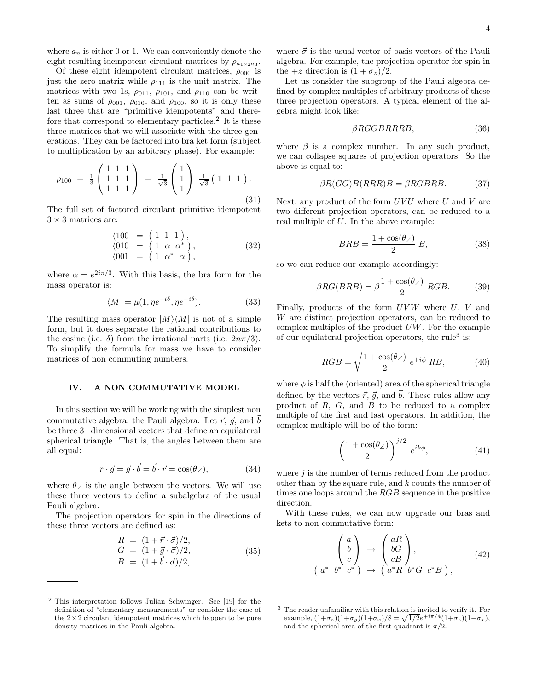Of these eight idempotent circulant matrices,  $\rho_{000}$  is just the zero matrix while  $\rho_{111}$  is the unit matrix. The matrices with two 1s,  $\rho_{011}$ ,  $\rho_{101}$ , and  $\rho_{110}$  can be written as sums of  $\rho_{001}$ ,  $\rho_{010}$ , and  $\rho_{100}$ , so it is only these last three that are "primitive idempotents" and therefore that correspond to elementary particles.<sup>2</sup> It is these three matrices that we will associate with the three generations. They can be factored into bra ket form (subject to multiplication by an arbitrary phase). For example:

$$
\rho_{100} = \frac{1}{3} \begin{pmatrix} 1 & 1 & 1 \\ 1 & 1 & 1 \\ 1 & 1 & 1 \end{pmatrix} = \frac{1}{\sqrt{3}} \begin{pmatrix} 1 \\ 1 \\ 1 \end{pmatrix} \frac{1}{\sqrt{3}} (1 \ 1 \ 1).
$$
\n(31)

The full set of factored circulant primitive idempotent  $3 \times 3$  matrices are:

$$
\langle 100| = \begin{pmatrix} 1 & 1 & 1 \end{pmatrix}, \langle 010| = \begin{pmatrix} 1 & \alpha & \alpha^* \\ 1 & \alpha^* & \alpha \end{pmatrix}, \langle 001| = \begin{pmatrix} 1 & \alpha^* & \alpha \end{pmatrix},
$$
\n(32)

where  $\alpha = e^{2i\pi/3}$ . With this basis, the bra form for the mass operator is:

$$
\langle M | = \mu(1, \eta e^{+i\delta}, \eta e^{-i\delta}). \tag{33}
$$

The resulting mass operator  $|M\rangle\langle M|$  is not of a simple form, but it does separate the rational contributions to the cosine (i.e.  $\delta$ ) from the irrational parts (i.e.  $2n\pi/3$ ). To simplify the formula for mass we have to consider matrices of non commuting numbers.

### IV. A NON COMMUTATIVE MODEL

In this section we will be working with the simplest non commutative algebra, the Pauli algebra. Let  $\vec{r}$ ,  $\vec{q}$ , and  $\vec{b}$ be three 3−dimensional vectors that define an equilateral spherical triangle. That is, the angles between them are all equal:

$$
\vec{r} \cdot \vec{g} = \vec{g} \cdot \vec{b} = \vec{b} \cdot \vec{r} = \cos(\theta_{\angle}), \tag{34}
$$

where  $\theta_{\angle}$  is the angle between the vectors. We will use these three vectors to define a subalgebra of the usual Pauli algebra.

The projection operators for spin in the directions of these three vectors are defined as:

$$
R = (1 + \vec{r} \cdot \vec{\sigma})/2,
$$
  
\n
$$
G = (1 + \vec{g} \cdot \vec{\sigma})/2,
$$
  
\n
$$
B = (1 + \vec{b} \cdot \vec{\sigma})/2,
$$
\n(35)

where  $\vec{\sigma}$  is the usual vector of basis vectors of the Pauli algebra. For example, the projection operator for spin in the +z direction is  $(1 + \sigma_z)/2$ .

Let us consider the subgroup of the Pauli algebra defined by complex multiples of arbitrary products of these three projection operators. A typical element of the algebra might look like:

$$
\beta RGGBRRRB, \tag{36}
$$

where  $\beta$  is a complex number. In any such product, we can collapse squares of projection operators. So the above is equal to:

$$
\beta R(GG)B(RRR)B = \beta RGBRB.
$$
 (37)

Next, any product of the form  $UVU$  where U and V are two different projection operators, can be reduced to a real multiple of U. In the above example:

$$
BRB = \frac{1 + \cos(\theta_{\angle})}{2} B, \qquad (38)
$$

so we can reduce our example accordingly:

$$
\beta RG(BRB) = \beta \frac{1 + \cos(\theta_{\angle})}{2} RGB.
$$
 (39)

Finally, products of the form  $UVW$  where  $U, V$  and W are distinct projection operators, can be reduced to complex multiples of the product  $UW$ . For the example of our equilateral projection operators, the rule<sup>3</sup> is:

$$
RGB = \sqrt{\frac{1 + \cos(\theta_{\angle})}{2}} e^{+i\phi} RB,
$$
 (40)

where  $\phi$  is half the (oriented) area of the spherical triangle defined by the vectors  $\vec{r}$ ,  $\vec{q}$ , and  $\vec{b}$ . These rules allow any product of  $R$ ,  $G$ , and  $B$  to be reduced to a complex multiple of the first and last operators. In addition, the complex multiple will be of the form:

$$
\left(\frac{1+\cos(\theta_{\angle})}{2}\right)^{j/2} e^{ik\phi}, \tag{41}
$$

where  $j$  is the number of terms reduced from the product other than by the square rule, and  $k$  counts the number of times one loops around the RGB sequence in the positive direction.

With these rules, we can now upgrade our bras and kets to non commutative form:

$$
\begin{pmatrix}\na \\
b \\
c\n\end{pmatrix}\n\rightarrow\n\begin{pmatrix}\naR \\
bG \\
cB\n\end{pmatrix},\n\begin{pmatrix}\naP \\
cB\n\end{pmatrix},\n\tag{42}
$$
\n
$$
a^* b^* c^* \rightarrow\n\begin{pmatrix}\na^*R & b^*G & c^*B\n\end{pmatrix},
$$

(

<sup>2</sup> This interpretation follows Julian Schwinger. See [19] for the definition of "elementary measurements" or consider the case of the  $2 \times 2$  circulant idempotent matrices which happen to be pure density matrices in the Pauli algebra.

<sup>3</sup> The reader unfamiliar with this relation is invited to verify it. For example,  $(1+\sigma_z)(1+\sigma_y)(1+\sigma_x)/8 = \sqrt{1/2}e^{+i\pi/4}(1+\sigma_z)(1+\sigma_x),$ and the spherical area of the first quadrant is  $\pi/2$ .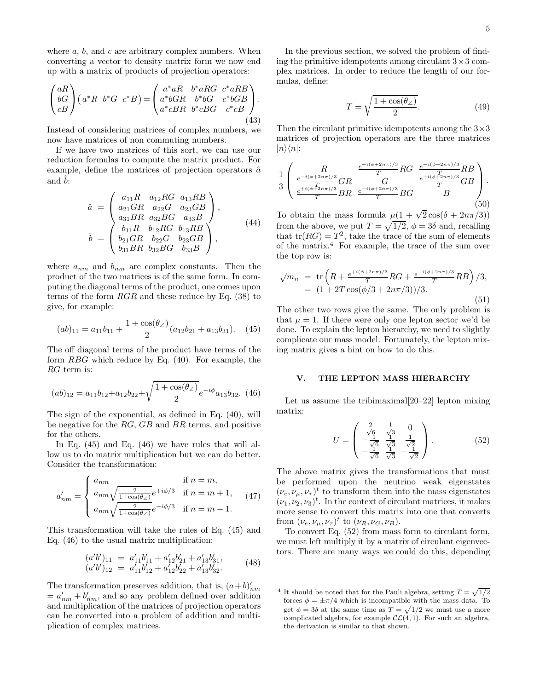where  $a, b$ , and  $c$  are arbitrary complex numbers. When converting a vector to density matrix form we now end up with a matrix of products of projection operators:

$$
\begin{pmatrix} aR \\ bG \\ cB \end{pmatrix} \begin{pmatrix} a^*R & b^*G & c^*B \end{pmatrix} = \begin{pmatrix} a^*aR & b^*aRG & c^*aRB \\ a^*bGR & b^*bG & c^*bGB \\ a^*cBR & b^*cBG & c^*cB \end{pmatrix} . \tag{43}
$$

Instead of considering matrices of complex numbers, we now have matrices of non commuting numbers.

If we have two matrices of this sort, we can use our reduction formulas to compute the matrix product. For example, define the matrices of projection operators  $\hat{a}$ and  $\overline{b}$ :

$$
\hat{a} = \begin{pmatrix} a_{11}R & a_{12}RG & a_{13}RB \\ a_{21}GR & a_{22}G & a_{23}GB \\ a_{31}BR & a_{32}BG & a_{33}B \end{pmatrix},
$$

$$
\hat{b} = \begin{pmatrix} b_{11}R & b_{12}RG & b_{13}RB \\ b_{21}GR & b_{22}G & b_{23}GB \\ b_{31}BR & b_{32}BG & b_{33}B \end{pmatrix},
$$
(44)

where  $a_{nm}$  and  $b_{nm}$  are complex constants. Then the product of the two matrices is of the same form. In computing the diagonal terms of the product, one comes upon terms of the form  $RGR$  and these reduce by Eq. (38) to give, for example:

$$
(ab)_{11} = a_{11}b_{11} + \frac{1 + \cos(\theta_2)}{2}(a_{12}b_{21} + a_{13}b_{31}). \quad (45)
$$

The off diagonal terms of the product have terms of the form RBG which reduce by Eq. (40). For example, the RG term is:

$$
(ab)_{12} = a_{11}b_{12} + a_{12}b_{22} + \sqrt{\frac{1 + \cos(\theta_2)}{2}}e^{-i\phi}a_{13}b_{32}.
$$
 (46)

The sign of the exponential, as defined in Eq. (40), will be negative for the RG, GB and BR terms, and positive for the others.

In Eq. (45) and Eq. (46) we have rules that will allow us to do matrix multiplication but we can do better. Consider the transformation:

$$
a'_{nm} = \begin{cases} a_{nm} & \text{if } n = m, \\ a_{nm} \sqrt{\frac{2}{1 + \cos(\theta_{\angle})}} e^{+i\phi/3} & \text{if } n = m + 1, \\ a_{nm} \sqrt{\frac{2}{1 + \cos(\theta_{\angle})}} e^{-i\phi/3} & \text{if } n = m - 1. \end{cases}
$$
(47)

This transformation will take the rules of Eq. (45) and Eq. (46) to the usual matrix multiplication:

$$
(a'b')_{11} = a'_{11}b'_{11} + a'_{12}b'_{21} + a'_{13}b'_{31},
$$
  
\n
$$
(a'b')_{12} = a'_{11}b'_{12} + a'_{12}b'_{22} + a'_{13}b'_{32}.
$$
\n(48)

The transformation preserves addition, that is,  $(a+b)'_{nm}$  $a'_{nm} + b'_{nm}$ , and so any problem defined over addition and multiplication of the matrices of projection operators can be converted into a problem of addition and multiplication of complex matrices.

In the previous section, we solved the problem of finding the primitive idempotents among circulant  $3 \times 3$  complex matrices. In order to reduce the length of our formulas, define:

$$
T = \sqrt{\frac{1 + \cos(\theta_{\angle})}{2}}.\t(49)
$$

Then the circulant primitive idempotents among the  $3\times3$ matrices of projection operators are the three matrices  $|n\rangle\langle n|$ :

$$
\frac{1}{3} \begin{pmatrix} R & \frac{e^{-i(\phi+2n\pi)/3}}{T} RG & \frac{e^{-i(\phi+2n\pi)/3}}{T} RB \\ \frac{e^{-i(\phi+2n\pi)/3}}{T} GR & \frac{e^{-i(\phi+2n\pi)/3}}{T} GB \\ \frac{e^{+i(\phi+2n\pi)/3}}{T} BR & \frac{e^{-i(\phi+2n\pi)/3}}{T} BG & \frac{e^{-i(\phi+2n\pi)/3}}{T} GB \end{pmatrix}.
$$
\n(50)  
\nTo obtain the mass formula  $\mu(1 + \sqrt{2}\cos(\delta + 2n\pi/3))$ 

from the above, we put  $T = \sqrt{1/2}$ ,  $\phi = 3\delta$  and, recalling that  $tr(RG) = T^2$ , take the trace of the sum of elements of the matrix.<sup>4</sup> For example, the trace of the sum over the top row is:

$$
\sqrt{m_n} = \text{tr}\left(R + \frac{e^{+i(\phi + 2n\pi)/3}}{T}RG + \frac{e^{-i(\phi + 2n\pi)/3}}{T}RB\right)/3,
$$
  
=  $(1 + 2T\cos(\phi/3 + 2n\pi/3))/3.$  (51)

The other two rows give the same. The only problem is that  $\mu = 1$ . If there were only one lepton sector we'd be done. To explain the lepton hierarchy, we need to slightly complicate our mass model. Fortunately, the lepton mixing matrix gives a hint on how to do this.

#### V. THE LEPTON MASS HIERARCHY

Let us assume the tribimaximal[20–22] lepton mixing matrix:

$$
U = \begin{pmatrix} \frac{2}{\sqrt{6}} & \frac{1}{\sqrt{3}} & 0\\ -\frac{1}{\sqrt{6}} & \frac{1}{\sqrt{3}} & \frac{1}{\sqrt{2}}\\ -\frac{1}{\sqrt{6}} & \frac{1}{\sqrt{3}} & -\frac{1}{\sqrt{2}} \end{pmatrix}.
$$
 (52)

The above matrix gives the transformations that must be performed upon the neutrino weak eigenstates  $(\nu_e, \nu_\mu, \nu_\tau)^t$  to transform them into the mass eigenstates  $(\nu_1, \nu_2, \nu_3)^t$ . In the context of circulant matrices, it makes more sense to convert this matrix into one that converts from  $(\nu_e, \nu_\mu, \nu_\tau)^t$  to  $(\nu_R, \nu_G, \nu_B)$ .

To convert Eq. (52) from mass form to circulant form, we must left multiply it by a matrix of circulant eigenvectors. There are many ways we could do this, depending

<sup>&</sup>lt;sup>4</sup> It should be noted that for the Pauli algebra, setting  $T = \sqrt{1/2}$ forces  $\phi = \pm \pi/4$  which is incompatible with the mass data. To get  $\phi = 3\delta$  at the same time as  $T = \sqrt{1/2}$  we must use a more complicated algebra, for example  $\mathcal{CL}(4, 1)$ . For such an algebra, the derivation is similar to that shown.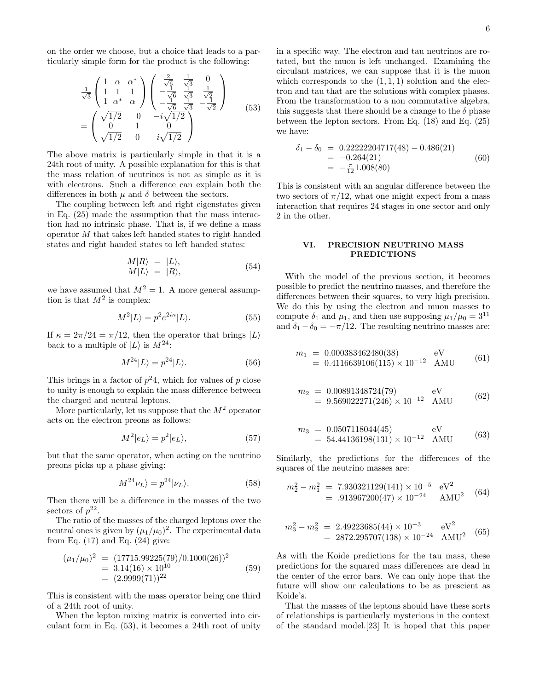on the order we choose, but a choice that leads to a particularly simple form for the product is the following:

$$
\frac{1}{\sqrt{3}} \begin{pmatrix} 1 & \alpha & \alpha^* \\ 1 & 1 & 1 \\ 1 & \alpha^* & \alpha \end{pmatrix} \begin{pmatrix} \frac{2}{\sqrt{6}} & \frac{1}{\sqrt{3}} & 0 \\ -\frac{1}{\sqrt{6}} & \frac{1}{\sqrt{3}} & \frac{1}{\sqrt{2}} \\ -\frac{1}{\sqrt{6}} & \frac{1}{\sqrt{3}} & -\frac{1}{\sqrt{2}} \end{pmatrix} = \begin{pmatrix} \sqrt{1/2} & 0 & -i\sqrt{1/2} \\ 0 & 1 & 0 \\ \sqrt{1/2} & 0 & i\sqrt{1/2} \end{pmatrix}
$$
(53)

The above matrix is particularly simple in that it is a 24th root of unity. A possible explanation for this is that the mass relation of neutrinos is not as simple as it is with electrons. Such a difference can explain both the differences in both  $\mu$  and  $\delta$  between the sectors.

The coupling between left and right eigenstates given in Eq. (25) made the assumption that the mass interaction had no intrinsic phase. That is, if we define a mass operator M that takes left handed states to right handed states and right handed states to left handed states:

$$
M|R\rangle = |L\rangle, M|L\rangle = |R\rangle, \tag{54}
$$

we have assumed that  $M^2 = 1$ . A more general assumption is that  $M^2$  is complex:

$$
M^2|L\rangle = p^2 e^{2i\kappa} |L\rangle.
$$
 (55)

If  $\kappa = 2\pi/24 = \pi/12$ , then the operator that brings  $|L\rangle$ back to a multiple of  $|L\rangle$  is  $M^{24}$ :

$$
M^{24}|L\rangle = p^{24}|L\rangle. \tag{56}
$$

This brings in a factor of  $p^2$ 4, which for values of p close to unity is enough to explain the mass difference between the charged and neutral leptons.

More particularly, let us suppose that the  $M^2$  operator acts on the electron preons as follows:

$$
M^2|e_L\rangle = p^2|e_L\rangle,\tag{57}
$$

but that the same operator, when acting on the neutrino preons picks up a phase giving:

$$
M^{24}\nu_L \rangle = p^{24} |\nu_L \rangle. \tag{58}
$$

Then there will be a difference in the masses of the two sectors of  $p^{22}$ .

The ratio of the masses of the charged leptons over the neutral ones is given by  $(\mu_1/\mu_0)^2$ . The experimental data from Eq.  $(17)$  and Eq.  $(24)$  give:

$$
(\mu_1/\mu_0)^2 = (17715.99225(79)/0.1000(26))^2
$$
  
= 3.14(16) × 10<sup>10</sup>  
= (2.9999(71))<sup>22</sup> (59)

This is consistent with the mass operator being one third of a 24th root of unity.

When the lepton mixing matrix is converted into circulant form in Eq. (53), it becomes a 24th root of unity in a specific way. The electron and tau neutrinos are rotated, but the muon is left unchanged. Examining the circulant matrices, we can suppose that it is the muon which corresponds to the  $(1, 1, 1)$  solution and the electron and tau that are the solutions with complex phases. From the transformation to a non commutative algebra, this suggests that there should be a change to the  $\delta$  phase between the lepton sectors. From Eq. (18) and Eq. (25) we have:

$$
\delta_1 - \delta_0 = 0.22222204717(48) - 0.486(21)
$$
  
= -0.264(21)  
= - $\frac{\pi}{12}$ 1.008(80) (60)

This is consistent with an angular difference between the two sectors of  $\pi/12$ , what one might expect from a mass interaction that requires 24 stages in one sector and only 2 in the other.

## VI. PRECISION NEUTRINO MASS PREDICTIONS

With the model of the previous section, it becomes possible to predict the neutrino masses, and therefore the differences between their squares, to very high precision. We do this by using the electron and muon masses to compute  $\delta_1$  and  $\mu_1$ , and then use supposing  $\mu_1/\mu_0 = 3^{11}$ and  $\delta_1 - \delta_0 = -\pi/12$ . The resulting neutrino masses are:

$$
m_1 = 0.000383462480(38)
$$
  
= 0.4116639106(115) × 10<sup>-12</sup> AMU (61)

$$
m_2 = 0.00891348724(79)
$$
 eV  
= 9.569022271(246) × 10<sup>-12</sup> AMU (62)

$$
m_3 = 0.0507118044(45)
$$
 eV  
= 54.44136198(131) × 10<sup>-12</sup> AMU (63)

Similarly, the predictions for the differences of the squares of the neutrino masses are:

$$
m_2^2 - m_1^2 = 7.930321129(141) \times 10^{-5} \text{ eV}^2
$$
  
= .913967200(47) × 10<sup>-24</sup> AMU<sup>2</sup> (64)

$$
m_3^2 - m_2^2 = 2.49223685(44) \times 10^{-3} \quad \text{eV}^2
$$
  
= 2872.295707(138) \times 10^{-24} AMU<sup>2</sup> (65)

As with the Koide predictions for the tau mass, these predictions for the squared mass differences are dead in the center of the error bars. We can only hope that the future will show our calculations to be as prescient as Koide's.

That the masses of the leptons should have these sorts of relationships is particularly mysterious in the context of the standard model.[23] It is hoped that this paper